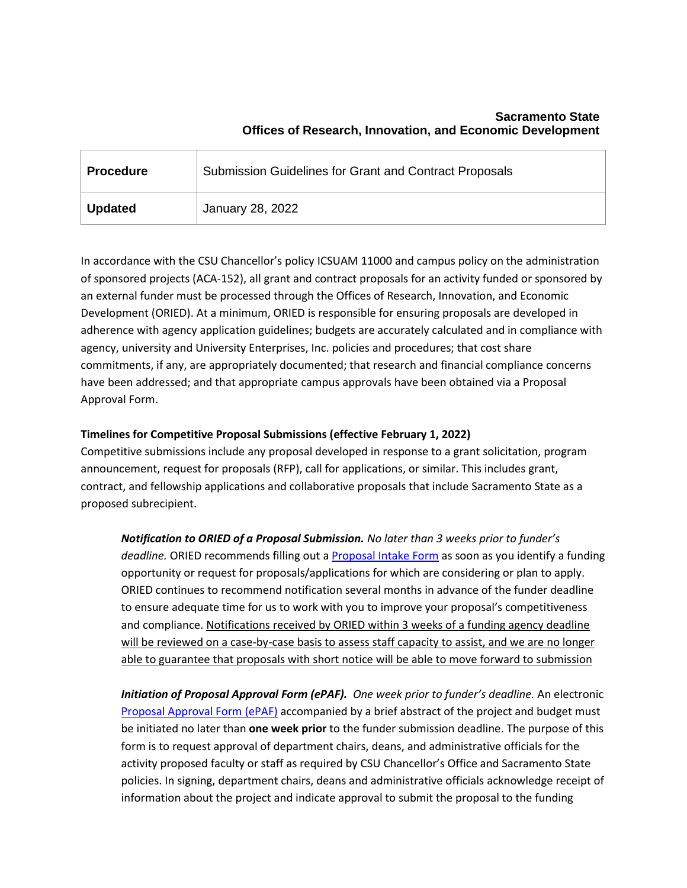| <b>Procedure</b> | <b>Submission Guidelines for Grant and Contract Proposals</b> |
|------------------|---------------------------------------------------------------|
| <b>Updated</b>   | January 28, 2022                                              |

In accordance with the CSU Chancellor's policy ICSUAM 11000 and campus policy on the administration of sponsored projects (ACA-152), all grant and contract proposals for an activity funded or sponsored by an external funder must be processed through the Offices of Research, Innovation, and Economic Development (ORIED). At a minimum, ORIED is responsible for ensuring proposals are developed in adherence with agency application guidelines; budgets are accurately calculated and in compliance with agency, university and University Enterprises, Inc. policies and procedures; that cost share commitments, if any, are appropriately documented; that research and financial compliance concerns have been addressed; and that appropriate campus approvals have been obtained via a Proposal Approval Form.

## **Timelines for Competitive Proposal Submissions (effective February 1, 2022)**

Competitive submissions include any proposal developed in response to a grant solicitation, program announcement, request for proposals (RFP), call for applications, or similar. This includes grant, contract, and fellowship applications and collaborative proposals that include Sacramento State as a proposed subrecipient.

*Notification to ORIED of a Proposal Submission. No later than 3 weeks prior to funder's deadline.* ORIED recommends filling out [a Proposal Intake Form](https://csus.co1.qualtrics.com/jfe/form/SV_0cgfC2EAMPHkd8O) as soon as you identify a funding opportunity or request for proposals/applications for which are considering or plan to apply. ORIED continues to recommend notification several months in advance of the funder deadline to ensure adequate time for us to work with you to improve your proposal's competitiveness and compliance. Notifications received by ORIED within 3 weeks of a funding agency deadline will be reviewed on a case-by-case basis to assess staff capacity to assist, and we are no longer able to guarantee that proposals with short notice will be able to move forward to submission

*Initiation of Proposal Approval Form (ePAF). One week prior to funder's deadline.* An electronic [Proposal Approval Form](https://www.csus.edu/experience/innovation-creativity/oried/forms.html) (ePAF) accompanied by a brief abstract of the project and budget must be initiated no later than **one week prior** to the funder submission deadline. The purpose of this form is to request approval of department chairs, deans, and administrative officials for the activity proposed faculty or staff as required by CSU Chancellor's Office and Sacramento State policies. In signing, department chairs, deans and administrative officials acknowledge receipt of information about the project and indicate approval to submit the proposal to the funding